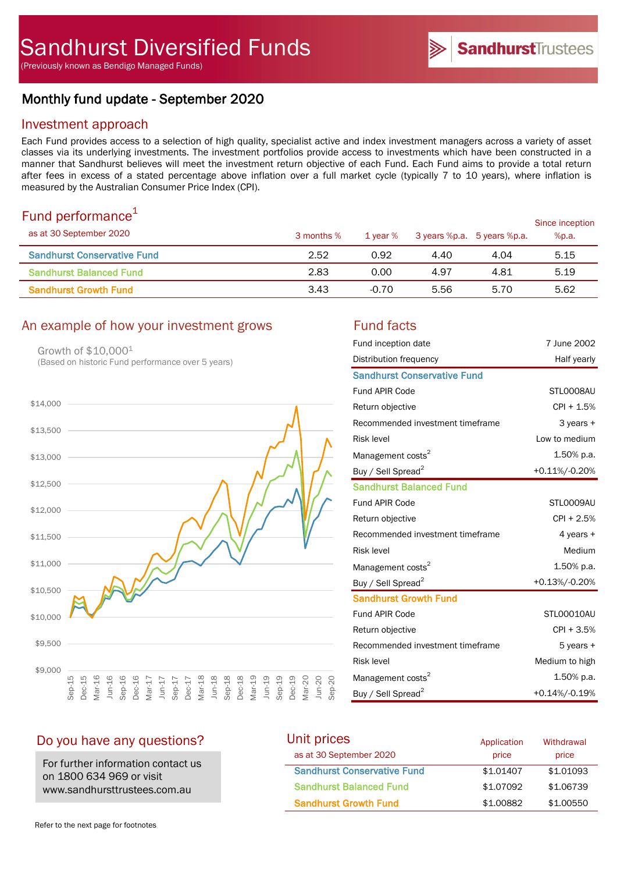# Monthly fund update - September 2020

### Investment approach

Each Fund provides access to a selection of high quality, specialist active and index investment managers across a variety of asset classes via its underlying investments. The investment portfolios provide access to investments which have been constructed in a manner that Sandhurst believes will meet the investment return objective of each Fund. Each Fund aims to provide a total return after fees in excess of a stated percentage above inflation over a full market cycle (typically 7 to 10 years), where inflation is measured by the Australian Consumer Price Index (CPI).

## Fund performance $1$

| $\sim$ 0.10 $\sim$ 0.11 $\sim$ 0.11 $\sim$ 0.11 $\sim$ 0.11<br>as at 30 September 2020 | 3 months % | 1 year % | 3 years %p.a. 5 years %p.a. |      | Since inception<br>%p.a. |
|----------------------------------------------------------------------------------------|------------|----------|-----------------------------|------|--------------------------|
| <b>Sandhurst Conservative Fund</b>                                                     | 2.52       | 0.92     | 4.40                        | 4.04 | 5.15                     |
| <b>Sandhurst Balanced Fund</b>                                                         | 2.83       | 0.00     | 4.97                        | 4.81 | 5.19                     |
| <b>Sandhurst Growth Fund</b>                                                           | 3.43       | $-0.70$  | 5.56                        | 5.70 | 5.62                     |

#### An example of how your investment grows Fund facts

Growth of \$10,0001 (Based on historic Fund performance over 5 years)



| Fund inception date                | 7 June 2002    |
|------------------------------------|----------------|
| Distribution frequency             | Half yearly    |
| <b>Sandhurst Conservative Fund</b> |                |
| Fund APIR Code                     | STLO008AU      |
| Return objective                   | CPI + 1.5%     |
| Recommended investment timeframe   | $3$ years $+$  |
| <b>Risk level</b>                  | Low to medium  |
| Management costs <sup>2</sup>      | 1.50% p.a.     |
| Buy / Sell Spread <sup>2</sup>     | +0.11%/-0.20%  |
| <b>Sandhurst Balanced Fund</b>     |                |
| <b>Fund APIR Code</b>              | STL0009AU      |
| Return objective                   | CPI + 2.5%     |
| Recommended investment timeframe   | 4 years +      |
| <b>Risk level</b>                  | Medium         |
| Management costs <sup>2</sup>      | 1.50% p.a.     |
| Buy / Sell Spread <sup>2</sup>     | +0.13%/-0.20%  |
| <b>Sandhurst Growth Fund</b>       |                |
| <b>Fund APIR Code</b>              | STL00010AU     |
| Return objective                   | CPI + 3.5%     |
| Recommended investment timeframe   | $5$ years $+$  |
| <b>Risk level</b>                  | Medium to high |
| Management costs <sup>2</sup>      | $1.50\%$ p.a.  |
| Buy / Sell Spread <sup>2</sup>     | +0.14%/-0.19%  |

SandhurstTrustees

### Do you have any questions?

For further information contact us on 1800 634 969 or visit www.sandhursttrustees.com.au

| Unit prices                        | Application | Withdrawal |
|------------------------------------|-------------|------------|
| as at 30 September 2020            | price       | price      |
| <b>Sandhurst Conservative Fund</b> | \$1,01407   | \$1,01093  |
| <b>Sandhurst Balanced Fund</b>     | \$1,07092   | \$1,06739  |
| <b>Sandhurst Growth Fund</b>       | \$1,00882   | \$1,00550  |